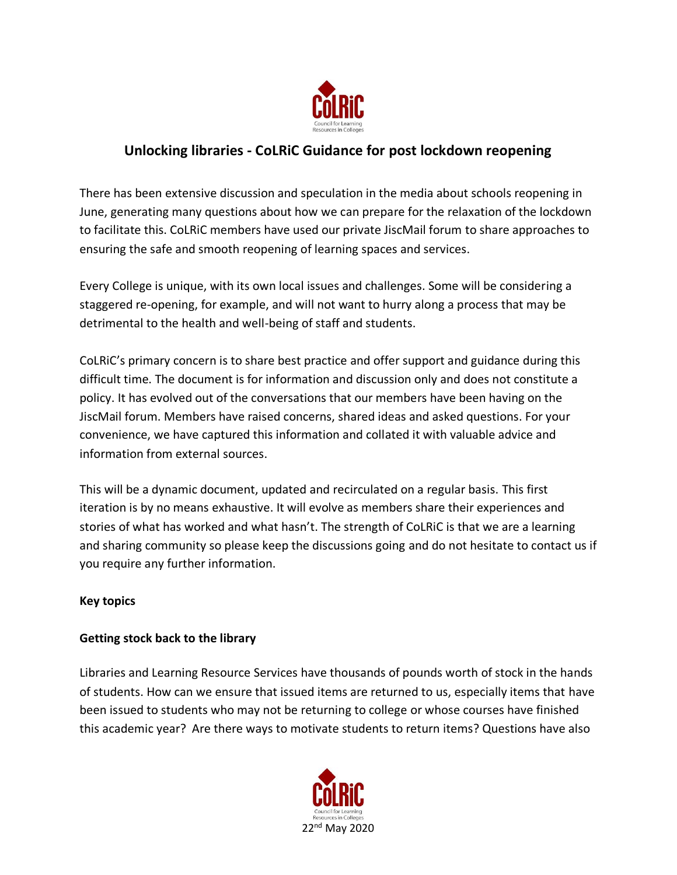

# **Unlocking libraries - CoLRiC Guidance for post lockdown reopening**

There has been extensive discussion and speculation in the media about schools reopening in June, generating many questions about how we can prepare for the relaxation of the lockdown to facilitate this. CoLRiC members have used our private JiscMail forum to share approaches to ensuring the safe and smooth reopening of learning spaces and services.

Every College is unique, with its own local issues and challenges. Some will be considering a staggered re-opening, for example, and will not want to hurry along a process that may be detrimental to the health and well-being of staff and students.

CoLRiC's primary concern is to share best practice and offer support and guidance during this difficult time. The document is for information and discussion only and does not constitute a policy. It has evolved out of the conversations that our members have been having on the JiscMail forum. Members have raised concerns, shared ideas and asked questions. For your convenience, we have captured this information and collated it with valuable advice and information from external sources.

This will be a dynamic document, updated and recirculated on a regular basis. This first iteration is by no means exhaustive. It will evolve as members share their experiences and stories of what has worked and what hasn't. The strength of CoLRiC is that we are a learning and sharing community so please keep the discussions going and do not hesitate to contact us if you require any further information.

## **Key topics**

## **Getting stock back to the library**

Libraries and Learning Resource Services have thousands of pounds worth of stock in the hands of students. How can we ensure that issued items are returned to us, especially items that have been issued to students who may not be returning to college or whose courses have finished this academic year? Are there ways to motivate students to return items? Questions have also

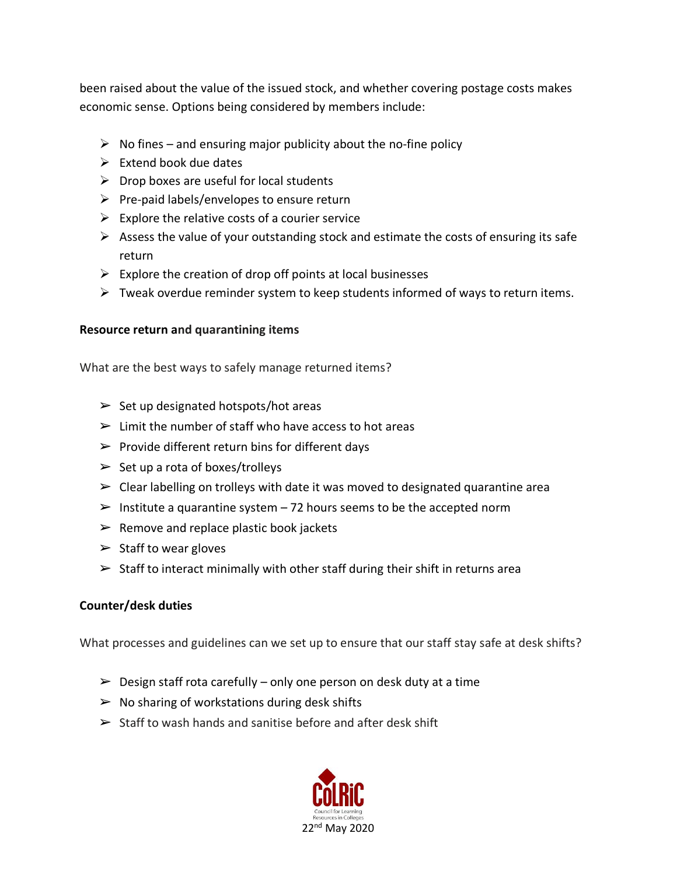been raised about the value of the issued stock, and whether covering postage costs makes economic sense. Options being considered by members include:

- $\triangleright$  No fines and ensuring major publicity about the no-fine policy
- $\triangleright$  Extend book due dates
- $\triangleright$  Drop boxes are useful for local students
- $\triangleright$  Pre-paid labels/envelopes to ensure return
- $\triangleright$  Explore the relative costs of a courier service
- $\triangleright$  Assess the value of your outstanding stock and estimate the costs of ensuring its safe return
- $\triangleright$  Explore the creation of drop off points at local businesses
- $\triangleright$  Tweak overdue reminder system to keep students informed of ways to return items.

#### **Resource return and quarantining items**

What are the best ways to safely manage returned items?

- $\triangleright$  Set up designated hotspots/hot areas
- $\triangleright$  Limit the number of staff who have access to hot areas
- $\triangleright$  Provide different return bins for different days
- $\triangleright$  Set up a rota of boxes/trolleys
- $\triangleright$  Clear labelling on trolleys with date it was moved to designated quarantine area
- $\geq$  Institute a quarantine system 72 hours seems to be the accepted norm
- $\triangleright$  Remove and replace plastic book jackets
- $\triangleright$  Staff to wear gloves
- $\triangleright$  Staff to interact minimally with other staff during their shift in returns area

## **Counter/desk duties**

What processes and guidelines can we set up to ensure that our staff stay safe at desk shifts?

- $\triangleright$  Design staff rota carefully only one person on desk duty at a time
- $\triangleright$  No sharing of workstations during desk shifts
- $\triangleright$  Staff to wash hands and sanitise before and after desk shift

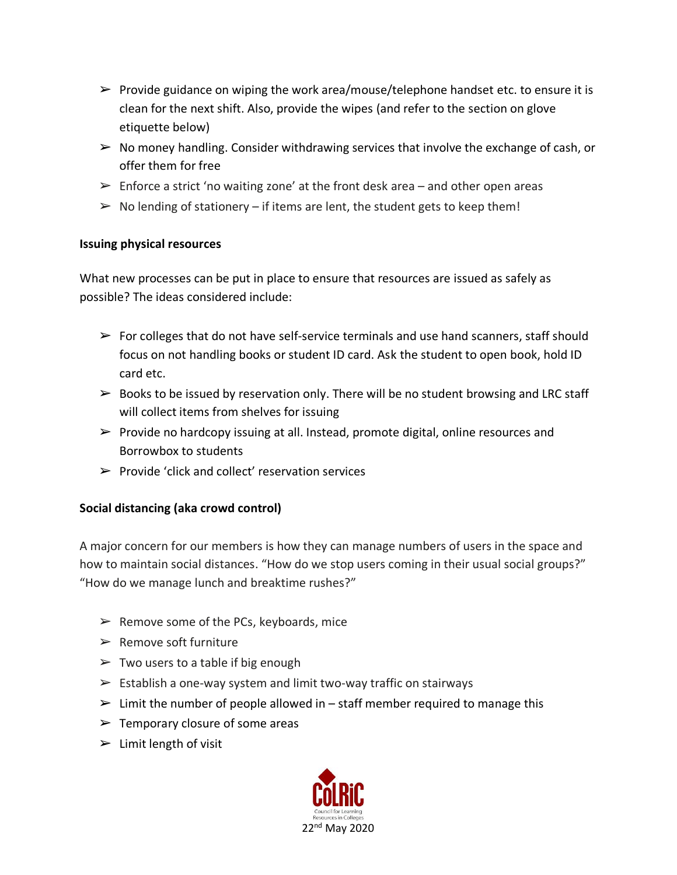- $\triangleright$  Provide guidance on wiping the work area/mouse/telephone handset etc. to ensure it is clean for the next shift. Also, provide the wipes (and refer to the section on glove etiquette below)
- $\triangleright$  No money handling. Consider withdrawing services that involve the exchange of cash, or offer them for free
- $\triangleright$  Enforce a strict 'no waiting zone' at the front desk area and other open areas
- $\triangleright$  No lending of stationery if items are lent, the student gets to keep them!

#### **Issuing physical resources**

What new processes can be put in place to ensure that resources are issued as safely as possible? The ideas considered include:

- $\triangleright$  For colleges that do not have self-service terminals and use hand scanners, staff should focus on not handling books or student ID card. Ask the student to open book, hold ID card etc.
- $\triangleright$  Books to be issued by reservation only. There will be no student browsing and LRC staff will collect items from shelves for issuing
- $\triangleright$  Provide no hardcopy issuing at all. Instead, promote digital, online resources and Borrowbox to students
- $\triangleright$  Provide 'click and collect' reservation services

## **Social distancing (aka crowd control)**

A major concern for our members is how they can manage numbers of users in the space and how to maintain social distances. "How do we stop users coming in their usual social groups?" "How do we manage lunch and breaktime rushes?"

- $\triangleright$  Remove some of the PCs, keyboards, mice
- $\triangleright$  Remove soft furniture
- $\triangleright$  Two users to a table if big enough
- $\triangleright$  Establish a one-way system and limit two-way traffic on stairways
- $\triangleright$  Limit the number of people allowed in staff member required to manage this
- $\blacktriangleright$  Temporary closure of some areas
- $\blacktriangleright$  Limit length of visit

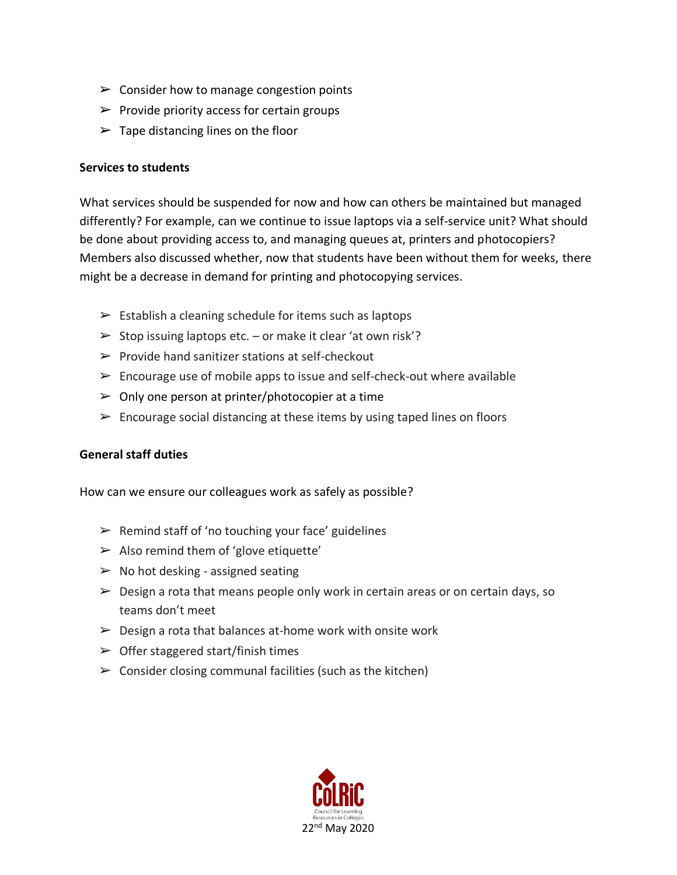- $\triangleright$  Consider how to manage congestion points
- $\triangleright$  Provide priority access for certain groups
- $\blacktriangleright$  Tape distancing lines on the floor

#### **Services to students**

What services should be suspended for now and how can others be maintained but managed differently? For example, can we continue to issue laptops via a self-service unit? What should be done about providing access to, and managing queues at, printers and photocopiers? Members also discussed whether, now that students have been without them for weeks, there might be a decrease in demand for printing and photocopying services.

- $\triangleright$  Establish a cleaning schedule for items such as laptops
- $\triangleright$  Stop issuing laptops etc. or make it clear 'at own risk'?
- $\triangleright$  Provide hand sanitizer stations at self-checkout
- $\triangleright$  Encourage use of mobile apps to issue and self-check-out where available
- $\triangleright$  Only one person at printer/photocopier at a time
- $\triangleright$  Encourage social distancing at these items by using taped lines on floors

## **General staff duties**

How can we ensure our colleagues work as safely as possible?

- $\triangleright$  Remind staff of 'no touching your face' guidelines
- $\triangleright$  Also remind them of 'glove etiquette'
- $\triangleright$  No hot desking assigned seating
- $\triangleright$  Design a rota that means people only work in certain areas or on certain days, so teams don't meet
- $\triangleright$  Design a rota that balances at-home work with onsite work
- $\triangleright$  Offer staggered start/finish times
- $\triangleright$  Consider closing communal facilities (such as the kitchen)

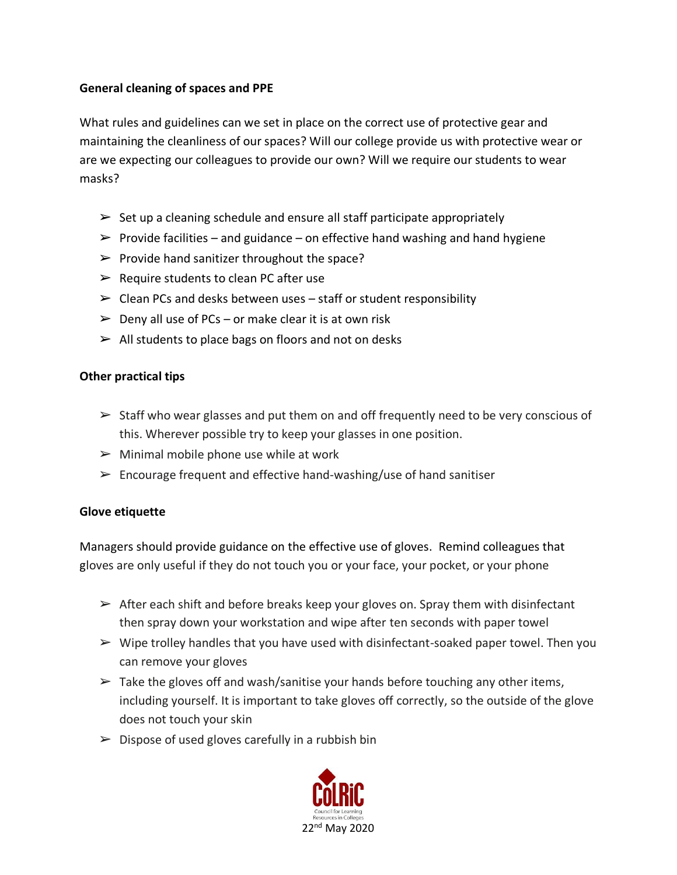## **General cleaning of spaces and PPE**

What rules and guidelines can we set in place on the correct use of protective gear and maintaining the cleanliness of our spaces? Will our college provide us with protective wear or are we expecting our colleagues to provide our own? Will we require our students to wear masks?

- $\triangleright$  Set up a cleaning schedule and ensure all staff participate appropriately
- $\triangleright$  Provide facilities and guidance on effective hand washing and hand hygiene
- $\triangleright$  Provide hand sanitizer throughout the space?
- $\triangleright$  Require students to clean PC after use
- $\triangleright$  Clean PCs and desks between uses staff or student responsibility
- $\triangleright$  Deny all use of PCs or make clear it is at own risk
- $\triangleright$  All students to place bags on floors and not on desks

## **Other practical tips**

- $\triangleright$  Staff who wear glasses and put them on and off frequently need to be very conscious of this. Wherever possible try to keep your glasses in one position.
- $\triangleright$  Minimal mobile phone use while at work
- $\triangleright$  Encourage frequent and effective hand-washing/use of hand sanitiser

## **Glove etiquette**

Managers should provide guidance on the effective use of gloves. Remind colleagues that gloves are only useful if they do not touch you or your face, your pocket, or your phone

- $\triangleright$  After each shift and before breaks keep your gloves on. Spray them with disinfectant then spray down your workstation and wipe after ten seconds with paper towel
- $\triangleright$  Wipe trolley handles that you have used with disinfectant-soaked paper towel. Then you can remove your gloves
- $\triangleright$  Take the gloves off and wash/sanitise your hands before touching any other items, including yourself. It is important to take gloves off correctly, so the outside of the glove does not touch your skin
- $\triangleright$  Dispose of used gloves carefully in a rubbish bin

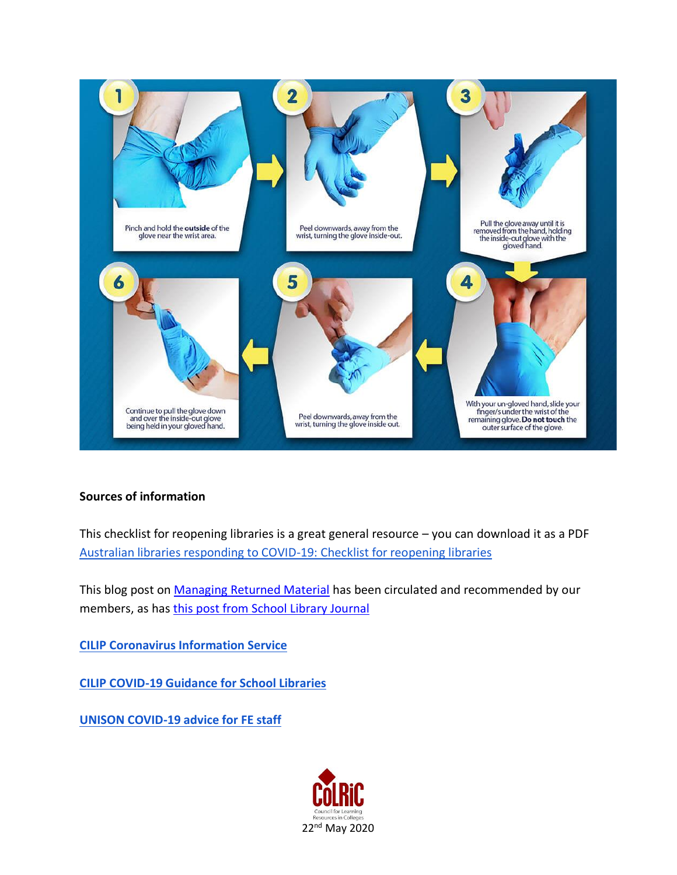

## **Sources of information**

This checklist for reopening libraries is a great general resource – you can download it as a PDF [Australian libraries responding to COVID-19: Checklist for reopening libraries](https://read.alia.org.au/australian-libraries-responding-covid-19-checklist-reopening-libraries)

This blog post on [Managing Returned Material](https://blog.wf-education.com/bts-book-cleaning?utm_campaign=1414270_Libraries%20Re-opening%20-%20Managing%20Returned%20Materials&utm_medium=email&utm_source=DEMCO%20EUROPE%20LTD&dm_i=4IFV,UB9A,2ELAGD,3OXDB,1) has been circulated and recommended by our members, as has [this post from School Library Journal](https://www.slj.com/?detailStory=IMLS-CDC-offer-guidance-for-disinfecting-returned-books-library-journal-coronavirus-covid19)

**[CILIP Coronavirus Information Service](https://www.cilip.org.uk/news/493378/CILIP-Coronavirus-Information-Service.htm)**

**[CILIP COVID-19 Guidance for School Libraries](https://www.cilip.org.uk/news/506793/COVID-19-Guidance-for-School-Libraries.htm)**

**[UNISON COVID-19 advice for FE staff](https://www.unison.org.uk/at-work/education-services/about/colleges/covid-19-advice-fe-staff/#heading-1)**